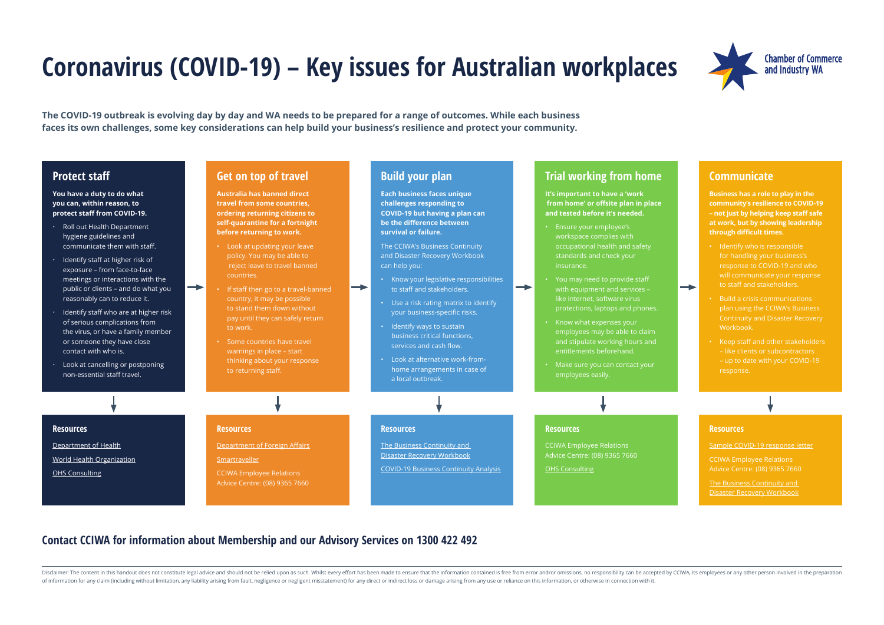# **Coronavirus (COVID-19) – Key issues for Australian workplaces**

 $\rightarrow$ 

**The COVID-19 outbreak is evolving day by day and WA needs to be prepared for a range of outcomes. While each business faces its own challenges, some key considerations can help build your business's resilience and protect your community.** 

### **Contact CCIWA for information about Membership and our Advisory Services on 1300 422 492**

Disclaimer: The content in this handout does not constitute legal advice and should not be relied upon as such. Whilst every effort has been made to ensure that the information contained is free from error and/or omissions of information for any claim (including without limitation, any liability arising from fault, negligence or negligent misstatement) for any direct or indirect loss or damage arising from any use or reliance on this informa



 $\blacktriangleright$ 



### **Chamber of Commerce** and Industry WA

### **Protect staff**

**You have a duty to do what you can, within reason, to protect staff from COVID-19.** 

- Roll out Health Department hygiene guidelines and communicate them with staff.
- Identify staff at higher risk of exposure – from face-to-face meetings or interactions with the public or clients – and do what you reasonably can to reduce it.
- Identify staff who are at higher risk of serious complications from the virus, or have a family member or someone they have close contact with who is.
- Look at cancelling or postponing non-essential staff travel.

### **Get on top of travel**

**Australia has banned direct travel from some countries, ordering returning citizens to self-quarantine for a fortnight before returning to work.** 

- Look at updating your leave policy. You may be able to reject leave to travel banned countries.
- If staff then go to a travel-banned country, it may be possible to stand them down without pay until they can safely return to work.
- Some countries have travel warnings in place – start thinking about your response to returning staff.

### **Build your plan**

**Each business faces unique challenges responding to COVID-19 but having a plan can be the difference between survival or failure.** 

The CCIWA's Business Continuity and Disaster Recovery Workbook can help you:

- Know your legislative responsibilities to staff and stakeholders.
- Use a risk rating matrix to identify your business-specific risks.
- Identify ways to sustain business critical functions, services and cash flow.
- Look at alternative work-fromhome arrangements in case of a local outbreak.

### **Trial working from home**

**It's important to have a 'work from home' or offsite plan in place and tested before it's needed.** 

- Ensure your employee's workspace complies with occupational health and safety standards and check your insurance.
- with equipment and services like internet, software virus protections, laptops and phones.
- Know what expenses your employees may be able to claim and stipulate working hours and entitlements beforehand.
- employees easily.

### **Communicate**

**Business has a role to play in the community's resilience to COVID-19 – not just by helping keep staff safe at work, but by showing leadership through difficult times.** 

- response to COVID-19 and who will communicate your response to staff and stakeholders.
- Build a crisis communications plan using the CCIWA's Business Workbook.
- Keep staff and other stakeholders – like clients or subcontractors response.

### **Resources**

[Department of Health](https://www.health.gov.au/health-topics/novel-coronavirus-2019-ncov) [World Health Organization](https://www.who.int/emergencies/diseases/novel-coronavirus-2019/advice-for-public) [OHS Consulting](https://cciwa.com/advisory-services/occupational-health-and-safety/)

### **Resources**

 $\rightarrow$ 

[Department of Foreign Affairs](https://www.homeaffairs.gov.au/news-media/current-alerts/novel-coronavirus)

[Smartraveller](https://www.smartraveller.gov.au)

CCIWA Employee Relations Advice Centre: (08) 9365 7660

### **Resources**

[The Business Continuity and](https://cciwa.com/wp-content/uploads/2020/03/0120-Business-Continuity-Kit.pdf)  Disaster Recovery Workbook

[COVID-19 Business](https://cciwa.com/wp-content/uploads/2020/03/0320-COVID-19-Business-Continuity-Analysis.pdf) Continuity Analysis



÷

CCIWA Employee Relations Advice Centre: (08) 9365 7660

[OHS Consulting](https://cciwa.com/advisory-services/occupational-health-and-safety/)

### **Resources**

[Sample COVID-19 response letter](https://cciwa.com/wp-content/uploads/2020/03/0320-COVID-19-Letter-Template.pdf)

CCIWA Employee Relations Advice Centre: (08) 9365 7660

[The Business Continuity and](https://cciwa.com/wp-content/uploads/2020/03/0120-Business-Continuity-Kit.pdf)  Disaster Recovery Workbook